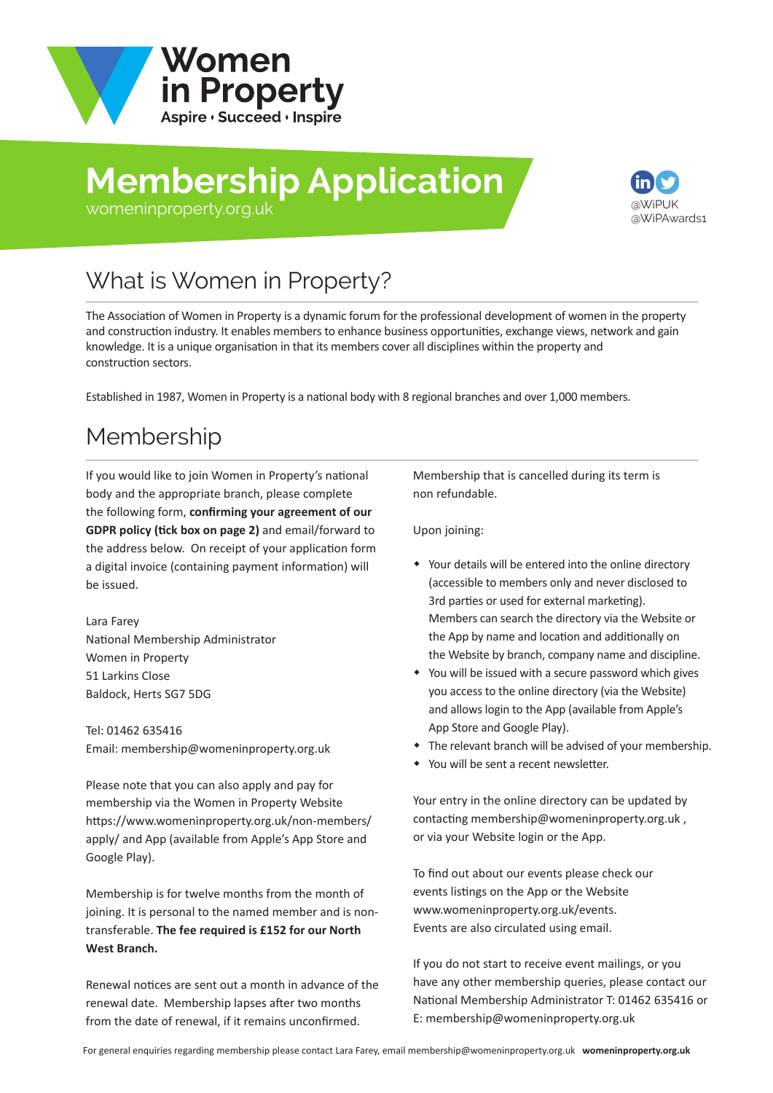

# **Membership Application**



#### [womeninproperty.org.uk](www.womeninproperty.org.uk)

## What is Women in Property?

The Association of Women in Property is a dynamic forum for the professional development of women in the property and construction industry. It enables members to enhance business opportunities, exchange views, network and gain knowledge. It is a unique organisation in that its members cover all disciplines within the property and construction sectors.

Established in 1987, Women in Property is a national body with 8 regional branches and over 1,000 members.

### Membership

If you would like to join Women in Property's national body and the appropriate branch, please complete the following form, **confirming your agreement of our GDPR policy (tick box on page 2)** and email/forward to the address below. On receipt of your application form a digital invoice (containing payment information) will be issued.

Lara Farey National Membership Administrator Women in Property 51 Larkins Close Baldock, Herts SG7 5DG

Tel: 01462 635416 Email: membership@womeninproperty.org.uk

Please note that you can also apply and pay for membership via the Women in Property Website [https://www.womeninproperty.org.uk/non-members](www.womeninproperty.org.uk/non-members/apply.aspx)/ apply/ and App (available from Apple's App Store and Google Play).

Membership is for twelve months from the month of joining. It is personal to the named member and is nontransferable. **The fee required is £152 for our North West Branch.**

Renewal notices are sent out a month in advance of the renewal date. Membership lapses after two months from the date of renewal, if it remains unconfirmed.

Membership that is cancelled during its term is non refundable.

Upon joining:

- Your details will be entered into the online directory (accessible to members only and never disclosed to 3rd parties or used for external marketing). Members can search the directory via the Website or the App by name and location and additionally on the Website by branch, company name and discipline.
- You will be issued with a secure password which gives you access to the online directory (via the Website) and allows login to the App (available from Apple's App Store and Google Play).
- The relevant branch will be advised of your membership.
- You will be sent a recent newsletter.

Your entry in the online directory can be updated by contacting membership@womeninproperty.org.uk , or via your Website login or the App.

To find out about our events please check our events listings on the App or the Website www.womeninproperty.org.uk/events. Events are also circulated using email.

If you do not start to receive event mailings, or you have any other membership queries, please contact our National Membership Adminis[trator T: 01462 635416 or](www.womeninproperty.org.uk)  E: membership@womeninproperty.org.uk